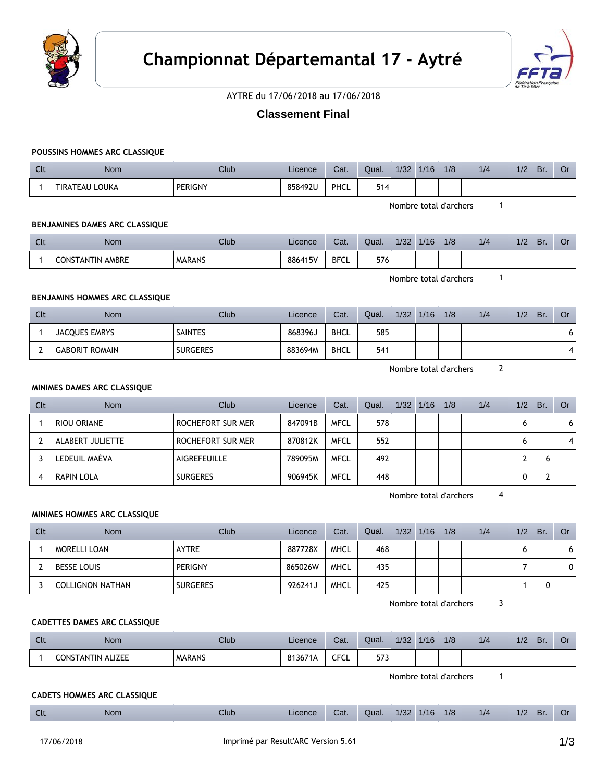



AYTRE du 17/06/2018 au 17/06/2018

# **Classement Final**

#### **POUSSINS HOMMES ARC CLASSIQUE**

| $\sim$<br><b>UU</b> | Nom            | Club           | Licence | Cat. | Qual.             | 1/32 | 1/16 | 1/8 | 1/4 | 1/2 | Br. | UI |
|---------------------|----------------|----------------|---------|------|-------------------|------|------|-----|-----|-----|-----|----|
|                     | TIRATEAU LOUKA | <b>PERIGNY</b> | 858492U | PHCL | E4A<br>ь<br>3 I 4 |      |      |     |     |     |     |    |

Nombre total d'archers 1

#### **BENJAMINES DAMES ARC CLASSIQUE**

| Clt | Nom                        | Club          | Licence | Cat.        | Qual. | 1/32 | 4/4C | 1/8 | 1/4 | /2 | Br | J٢ |
|-----|----------------------------|---------------|---------|-------------|-------|------|------|-----|-----|----|----|----|
|     | AMBRE<br><b>CONSTANTIN</b> | <b>MARANS</b> | 886415V | <b>BFCL</b> | 576   |      |      |     |     |    |    |    |

Nombre total d'archers 1

## **BENJAMINS HOMMES ARC CLASSIQUE**

| Clt | <b>Nom</b>            | Club            | Licence | Cat.        | Qual. | 1/32 | 1/16 | 1/8 | 1/4 | 1/2 | Br. | Or |
|-----|-----------------------|-----------------|---------|-------------|-------|------|------|-----|-----|-----|-----|----|
|     | JACQUES EMRYS         | <b>SAINTES</b>  | 868396J | <b>BHCL</b> | 585   |      |      |     |     |     |     | O  |
|     | <b>GABORIT ROMAIN</b> | <b>SURGERES</b> | 883694M | <b>BHCL</b> | 541   |      |      |     |     |     |     | 4  |

Nombre total d'archers 2

#### **MINIMES DAMES ARC CLASSIQUE**

| Clt | <b>Nom</b>       | Club              | Licence | Cat.        | Qual. | $1/32$ $1/16$ | 1/8 | 1/4 | 1/2 | Br. | Or |
|-----|------------------|-------------------|---------|-------------|-------|---------------|-----|-----|-----|-----|----|
|     | RIOU ORIANE      | ROCHEFORT SUR MER | 847091B | <b>MFCL</b> | 578   |               |     |     | 6   |     | 6  |
|     | ALABERT JULIETTE | ROCHEFORT SUR MER | 870812K | <b>MFCL</b> | 552   |               |     |     | 6   |     | 4  |
|     | LEDEUIL MAÉVA    | AIGREFEUILLE      | 789095M | <b>MFCL</b> | 492   |               |     |     |     |     |    |
|     | RAPIN LOLA       | <b>SURGERES</b>   | 906945K | <b>MFCL</b> | 448   |               |     |     |     |     |    |

Nombre total d'archers 4

### **MINIMES HOMMES ARC CLASSIQUE**

| <b>Clt</b> | <b>Nom</b>              | Club            | Licence | Cat.        | Qual. | 1/32 | 1/16 | 1/8 | 1/4 | 1/2 | Br. | Or |
|------------|-------------------------|-----------------|---------|-------------|-------|------|------|-----|-----|-----|-----|----|
|            | MORELLI LOAN            | <b>AYTRE</b>    | 887728X | MHCL        | 468   |      |      |     |     |     |     |    |
|            | <b>BESSE LOUIS</b>      | PERIGNY         | 865026W | <b>MHCL</b> | 435   |      |      |     |     |     |     |    |
|            | <b>COLLIGNON NATHAN</b> | <b>SURGERES</b> | 926241J | <b>MHCL</b> | 425   |      |      |     |     |     |     |    |

Nombre total d'archers 3

#### **CADETTES DAMES ARC CLASSIQUE**

| Clt | <b>Nom</b>             | Club          | Licence | Cat. | Qual.        | 1/32 | 1/16 | 1/8 | 1/4 | 1/2 | Br. | Or |
|-----|------------------------|---------------|---------|------|--------------|------|------|-----|-----|-----|-----|----|
|     | TANTIN ALIZEE<br>CONST | <b>MARANS</b> | 813671  | CFCL | 571<br>د ، د |      |      |     |     |     |     |    |

Nombre total d'archers 1

### **CADETS HOMMES ARC CLASSIQUE**

|  | Clt | <b>Nom</b> | Club | Licence | Cat. | Qual. | 1/32 | 1/16 | 1/8 | 1/4 | 1/2 | D.<br>DI |  |
|--|-----|------------|------|---------|------|-------|------|------|-----|-----|-----|----------|--|
|--|-----|------------|------|---------|------|-------|------|------|-----|-----|-----|----------|--|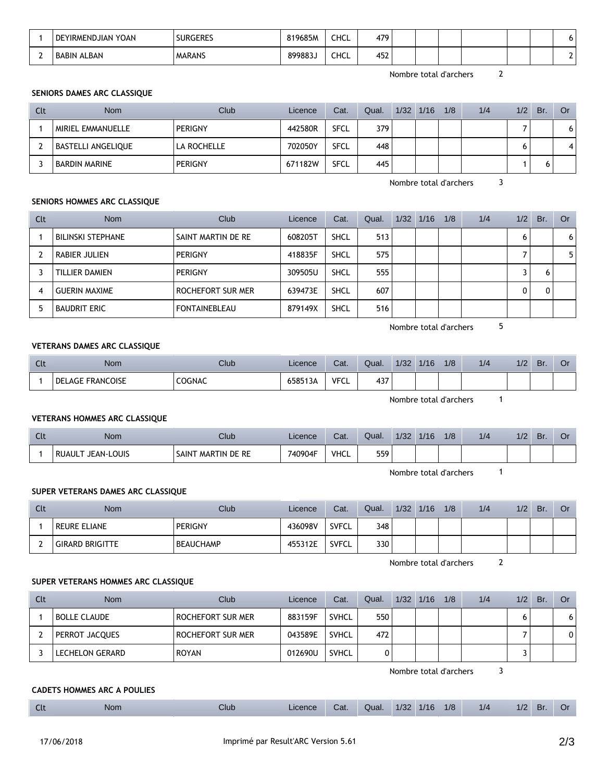| YOAN<br>DEYIRMENDJIAN | <b>SURGERES</b> | 819685M | CHCL | 479 |  |  | U |
|-----------------------|-----------------|---------|------|-----|--|--|---|
| <b>BABIN ALBAN</b>    | <b>MARANS</b>   | 8998835 | CHCL | 452 |  |  |   |

Nombre total d'archers 2

### **SENIORS DAMES ARC CLASSIQUE**

| Clt | <b>Nom</b>         | Club           | Licence | Cat.        | Qual. | $1/32$ $1/16$ | 1/8 | 1/4 | 1/2 | Br. | Or |
|-----|--------------------|----------------|---------|-------------|-------|---------------|-----|-----|-----|-----|----|
|     | MIRIEL EMMANUELLE  | <b>PERIGNY</b> | 442580R | <b>SFCL</b> | 379   |               |     |     |     |     | O  |
|     | BASTELLI ANGELIQUE | LA ROCHELLE    | 702050Y | <b>SFCL</b> | 448   |               |     |     | o   |     |    |
|     | BARDIN MARINE      | <b>PERIGNY</b> | 671182W | <b>SFCL</b> | 445   |               |     |     |     |     |    |

Nombre total d'archers 3

## **SENIORS HOMMES ARC CLASSIQUE**

| Clt | <b>Nom</b>               | Club               | Licence | Cat.        | Qual. | $1/32$ $1/16$ | 1/8 | 1/4 | 1/2 | Br. | Or |
|-----|--------------------------|--------------------|---------|-------------|-------|---------------|-----|-----|-----|-----|----|
|     | <b>BILINSKI STEPHANE</b> | SAINT MARTIN DE RE | 608205T | SHCL        | 513   |               |     |     |     |     | 6  |
|     | RABIER JULIEN            | PERIGNY            | 418835F | <b>SHCL</b> | 575   |               |     |     |     |     | 5  |
|     | TILLIER DAMIEN           | PERIGNY            | 309505U | <b>SHCL</b> | 555   |               |     |     |     | h   |    |
| 4   | <b>GUERIN MAXIME</b>     | ROCHEFORT SUR MER  | 639473E | SHCL        | 607   |               |     |     |     |     |    |
| 5   | <b>BAUDRIT ERIC</b>      | FONTAINEBLEAU      | 879149X | SHCL        | 516   |               |     |     |     |     |    |

Nombre total d'archers 5

#### **VETERANS DAMES ARC CLASSIQUE**

| Clt | <b>Nom</b>                        | Club          | Licence | Cat.                  | Qual. | 1/32 | 1/16 | 1/8 | 1/4 | 1/2 | <b>Br</b> | UI |
|-----|-----------------------------------|---------------|---------|-----------------------|-------|------|------|-----|-----|-----|-----------|----|
|     | <b>FRANCOISE</b><br><b>DELAGE</b> | <b>COGNAC</b> | ó58513A | <b>VECI</b><br>/ I ㄴㄴ | 437   |      |      |     |     |     |           |    |

Nombre total d'archers 1

#### **VETERANS HOMMES ARC CLASSIQUE**

| $\sim$<br>นเ | Nom                                    | Club                        | Licence | Cat. | Qual. | 1/32 | 1/16 | 1/8 | 1/4 | 1/2 | <b>Br</b> | ◡ |
|--------------|----------------------------------------|-----------------------------|---------|------|-------|------|------|-----|-----|-----|-----------|---|
|              | Louis<br><b>RUAUL</b><br>JEAN-I<br>DI. | <b>SAIN</b><br>MARTIN DE RE | 740904F | VHCL | 559   |      |      |     |     |     |           |   |

Nombre total d'archers 1

### **SUPER VETERANS DAMES ARC CLASSIQUE**

| Clt | <b>Nom</b>        | <b>Club</b> | Licence | Cat.         | Qual. | 1/32 | 1/16 | 1/8 | 1/4 | 1/2 | Br. | Or |
|-----|-------------------|-------------|---------|--------------|-------|------|------|-----|-----|-----|-----|----|
|     | REURE ELIANE      | PERIGNY     | 436098V | <b>SVFCL</b> | 348   |      |      |     |     |     |     |    |
|     | ' GIRARD BRIGITTE | BEAUCHAMP   | 455312E | <b>SVFCL</b> | 330   |      |      |     |     |     |     |    |

Nombre total d'archers 2

## **SUPER VETERANS HOMMES ARC CLASSIQUE**

| Clt | <b>Nom</b>             | Club              | Licence | Cat.         | Qual. | 1/32 | 1/16 | 1/8 | 1/4 | 1/2 | Br. | Or           |
|-----|------------------------|-------------------|---------|--------------|-------|------|------|-----|-----|-----|-----|--------------|
|     | <b>BOLLE CLAUDE</b>    | ROCHEFORT SUR MER | 883159F | SVHCL        | 550   |      |      |     |     |     |     | 6            |
|     | PERROT JACQUES         | ROCHEFORT SUR MER | 043589E | <b>SVHCL</b> | 472   |      |      |     |     |     |     | $\mathbf{0}$ |
|     | <b>LECHELON GERARD</b> | <b>ROYAN</b>      | 012690U | SVHCL        |       |      |      |     |     |     |     |              |

Nombre total d'archers 3

## **CADETS HOMMES ARC A POULIES**

| 1/8<br>1/32<br>1/16<br>$\overline{\phantom{a}}$<br>1/4<br>Club<br>$\sim$<br>Cat.<br>Br<br>Licence<br>Qual.<br><b>Nom</b><br>1/2<br>$\sim$ |
|-------------------------------------------------------------------------------------------------------------------------------------------|
|-------------------------------------------------------------------------------------------------------------------------------------------|